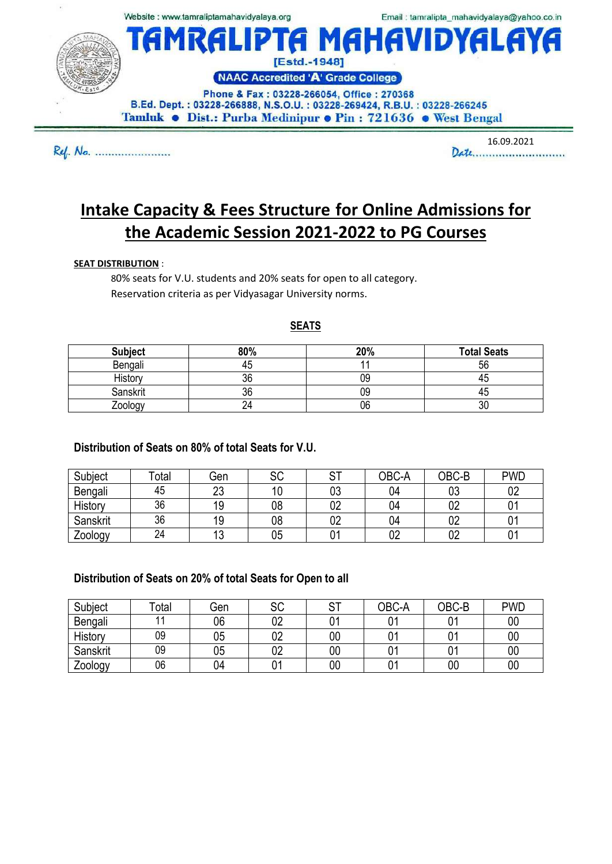

Ref. Na. .......................

 $16.09.2021$ 

# **Intake Capacity & Fees Structure for Online Admissions for the Academic Session 2021-2022 to PG Courses**

#### **SEAT DISTRIBUTION** :

80% seats for V.U. students and 20% seats for open to all category. Reservation criteria as per Vidyasagar University norms.

#### **SEATS**

| <b>Subject</b> | 80% | 20% | <b>Total Seats</b> |
|----------------|-----|-----|--------------------|
| Bengali        | 45  |     | 56                 |
| History        | 36  | 09  | 43                 |
| Sanskrit       | 36  | 09  | 43                 |
| Zoology        | 24  | 06  | 30                 |

## **Distribution of Seats on 80% of total Seats for V.U.**

| Subject  | Total | Gen      | .cr<br>৩৬ | ⌒⊤ | OBC-A | OBC-B | <b>PWD</b> |
|----------|-------|----------|-----------|----|-------|-------|------------|
| Bengali  | 45    | ົດ<br>∠∪ | 10        | 03 | 04    | 03    | 02         |
| History  | 36    | 19       | 08        | 02 | 04    | 02    |            |
| Sanskrit | 36    | 19       | 08        | 02 | 04    | 02    |            |
| Zoology  | 24    | ໍ່<br>◡  | 05        |    | 02    | 02    | 01         |

## **Distribution of Seats on 20% of total Seats for Open to all**

| Subject  | Total | Gen | SC | ⌒⊤ | OBC-A | OBC-B | <b>PWD</b> |
|----------|-------|-----|----|----|-------|-------|------------|
| Bengali  | 44    | 06  | 02 |    | ៱     | 01    | 00         |
| History  | 09    | 05  | 02 | 00 |       |       | 00         |
| Sanskrit | 09    | 05  | 02 | 00 |       |       | 00         |
| Zoology  | 06    | 04  | 01 | 00 | v.    | 00    | 00         |